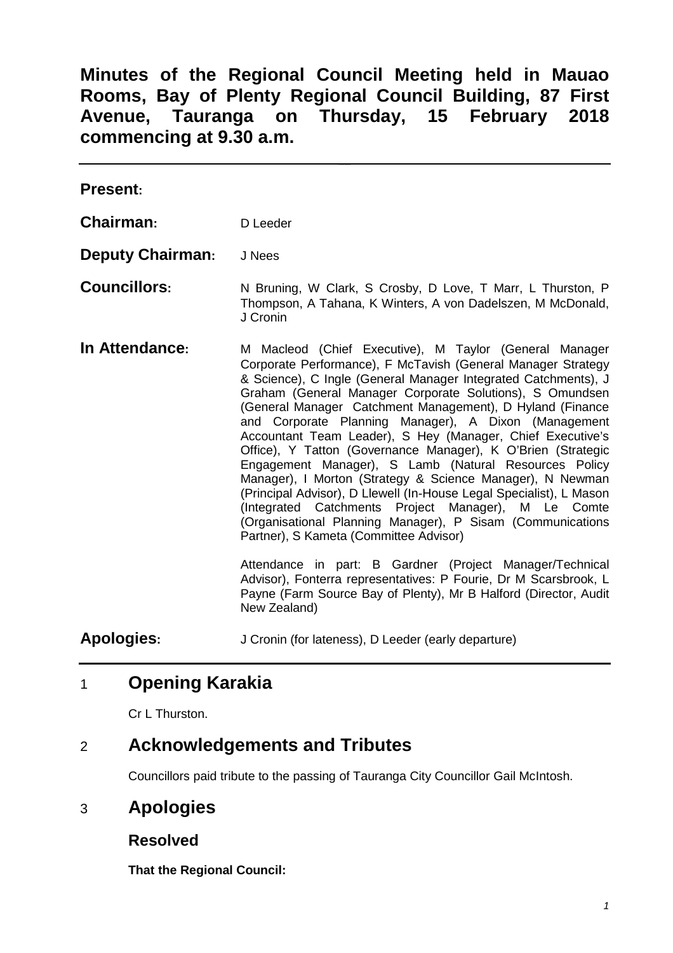**Minutes of the Regional Council Meeting held in Mauao Rooms, Bay of Plenty Regional Council Building, 87 First Avenue, Tauranga on Thursday, 15 February 2018 commencing at 9.30 a.m.** 

| <b>Present:</b> |          |
|-----------------|----------|
| Chairman:       | D Leeder |

- **Deputy Chairman:** J Nees
- **Councillors:** N Bruning, W Clark, S Crosby, D Love, T Marr, L Thurston, P Thompson, A Tahana, K Winters, A von Dadelszen, M McDonald, J Cronin
- **In Attendance:** M Macleod (Chief Executive), M Taylor (General Manager Corporate Performance), F McTavish (General Manager Strategy & Science), C Ingle (General Manager Integrated Catchments), J Graham (General Manager Corporate Solutions), S Omundsen (General Manager Catchment Management), D Hyland (Finance and Corporate Planning Manager), A Dixon (Management Accountant Team Leader), S Hey (Manager, Chief Executive's Office), Y Tatton (Governance Manager), K O'Brien (Strategic Engagement Manager), S Lamb (Natural Resources Policy Manager), I Morton (Strategy & Science Manager), N Newman (Principal Advisor), D Llewell (In-House Legal Specialist), L Mason (Integrated Catchments Project Manager), M Le Comte (Organisational Planning Manager), P Sisam (Communications Partner), S Kameta (Committee Advisor)

 Attendance in part: B Gardner (Project Manager/Technical Advisor), Fonterra representatives: P Fourie, Dr M Scarsbrook, L Payne (Farm Source Bay of Plenty), Mr B Halford (Director, Audit New Zealand)

**Apologies:** J Cronin (for lateness), D Leeder (early departure)

# 1 **Opening Karakia**

Cr L Thurston

## 2 **Acknowledgements and Tributes**

Councillors paid tribute to the passing of Tauranga City Councillor Gail McIntosh.

# 3 **Apologies**

## **Resolved**

**That the Regional Council:**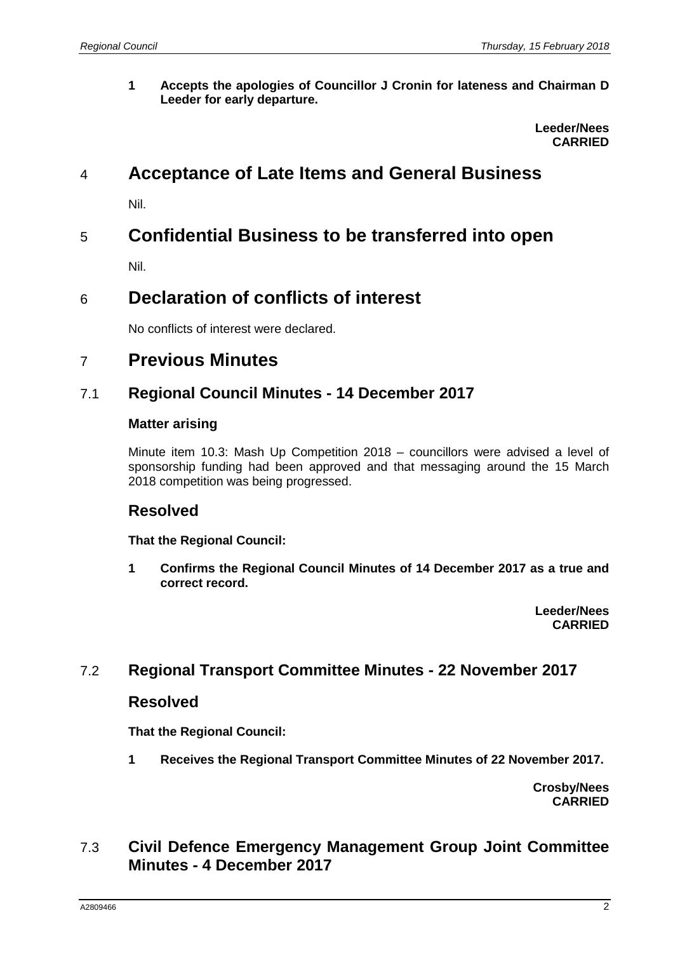**1 Accepts the apologies of Councillor J Cronin for lateness and Chairman D Leeder for early departure.** 

> **Leeder/Nees CARRIED**

# 4 **Acceptance of Late Items and General Business**

Nil.

# 5 **Confidential Business to be transferred into open**

Nil.

# 6 **Declaration of conflicts of interest**

No conflicts of interest were declared.

## 7 **Previous Minutes**

#### 7.1 **Regional Council Minutes - 14 December 2017**

#### **Matter arising**

Minute item 10.3: Mash Up Competition 2018 – councillors were advised a level of sponsorship funding had been approved and that messaging around the 15 March 2018 competition was being progressed.

## **Resolved**

**That the Regional Council:** 

**1 Confirms the Regional Council Minutes of 14 December 2017 as a true and correct record.** 

> **Leeder/Nees CARRIED**

## 7.2 **Regional Transport Committee Minutes - 22 November 2017**

#### **Resolved**

**That the Regional Council:** 

**1 Receives the Regional Transport Committee Minutes of 22 November 2017.** 

**Crosby/Nees CARRIED**

## 7.3 **Civil Defence Emergency Management Group Joint Committee Minutes - 4 December 2017**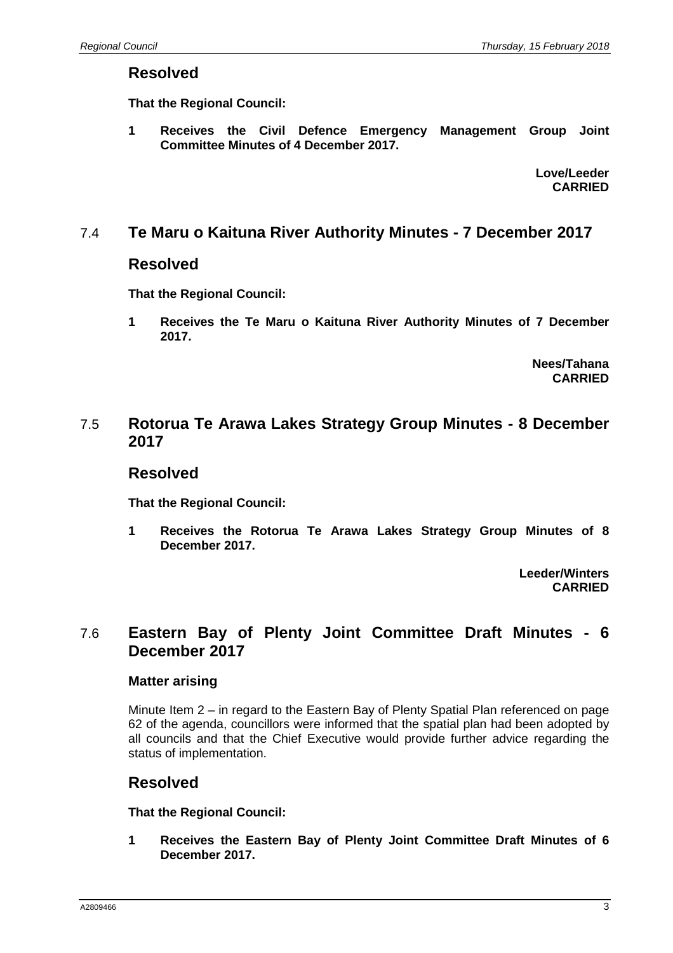#### **Resolved**

**That the Regional Council:** 

**1 Receives the Civil Defence Emergency Management Group Joint Committee Minutes of 4 December 2017.** 

> **Love/Leeder CARRIED**

#### 7.4 **Te Maru o Kaituna River Authority Minutes - 7 December 2017**

#### **Resolved**

**That the Regional Council:** 

**1 Receives the Te Maru o Kaituna River Authority Minutes of 7 December 2017.** 

> **Nees/Tahana CARRIED**

#### 7.5 **Rotorua Te Arawa Lakes Strategy Group Minutes - 8 December 2017**

#### **Resolved**

**That the Regional Council:** 

**1 Receives the Rotorua Te Arawa Lakes Strategy Group Minutes of 8 December 2017.** 

> **Leeder/Winters CARRIED**

## 7.6 **Eastern Bay of Plenty Joint Committee Draft Minutes - 6 December 2017**

#### **Matter arising**

Minute Item 2 – in regard to the Eastern Bay of Plenty Spatial Plan referenced on page 62 of the agenda, councillors were informed that the spatial plan had been adopted by all councils and that the Chief Executive would provide further advice regarding the status of implementation.

#### **Resolved**

**That the Regional Council:** 

**1 Receives the Eastern Bay of Plenty Joint Committee Draft Minutes of 6 December 2017.**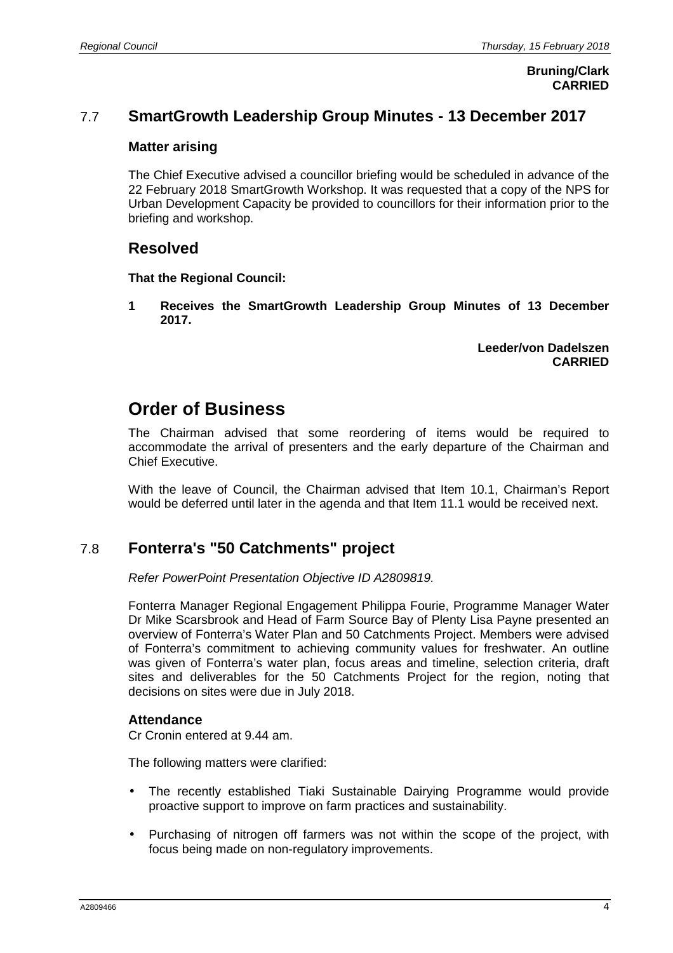**Bruning/Clark CARRIED**

## 7.7 **SmartGrowth Leadership Group Minutes - 13 December 2017**

#### **Matter arising**

The Chief Executive advised a councillor briefing would be scheduled in advance of the 22 February 2018 SmartGrowth Workshop. It was requested that a copy of the NPS for Urban Development Capacity be provided to councillors for their information prior to the briefing and workshop.

#### **Resolved**

#### **That the Regional Council:**

**1 Receives the SmartGrowth Leadership Group Minutes of 13 December 2017.** 

> **Leeder/von Dadelszen CARRIED**

# **Order of Business**

The Chairman advised that some reordering of items would be required to accommodate the arrival of presenters and the early departure of the Chairman and Chief Executive.

With the leave of Council, the Chairman advised that Item 10.1, Chairman's Report would be deferred until later in the agenda and that Item 11.1 would be received next.

## 7.8 **Fonterra's "50 Catchments" project**

Refer PowerPoint Presentation Objective ID A2809819.

Fonterra Manager Regional Engagement Philippa Fourie, Programme Manager Water Dr Mike Scarsbrook and Head of Farm Source Bay of Plenty Lisa Payne presented an overview of Fonterra's Water Plan and 50 Catchments Project. Members were advised of Fonterra's commitment to achieving community values for freshwater. An outline was given of Fonterra's water plan, focus areas and timeline, selection criteria, draft sites and deliverables for the 50 Catchments Project for the region, noting that decisions on sites were due in July 2018.

#### **Attendance**

Cr Cronin entered at 9.44 am.

The following matters were clarified:

- The recently established Tiaki Sustainable Dairying Programme would provide proactive support to improve on farm practices and sustainability.
- Purchasing of nitrogen off farmers was not within the scope of the project, with focus being made on non-regulatory improvements.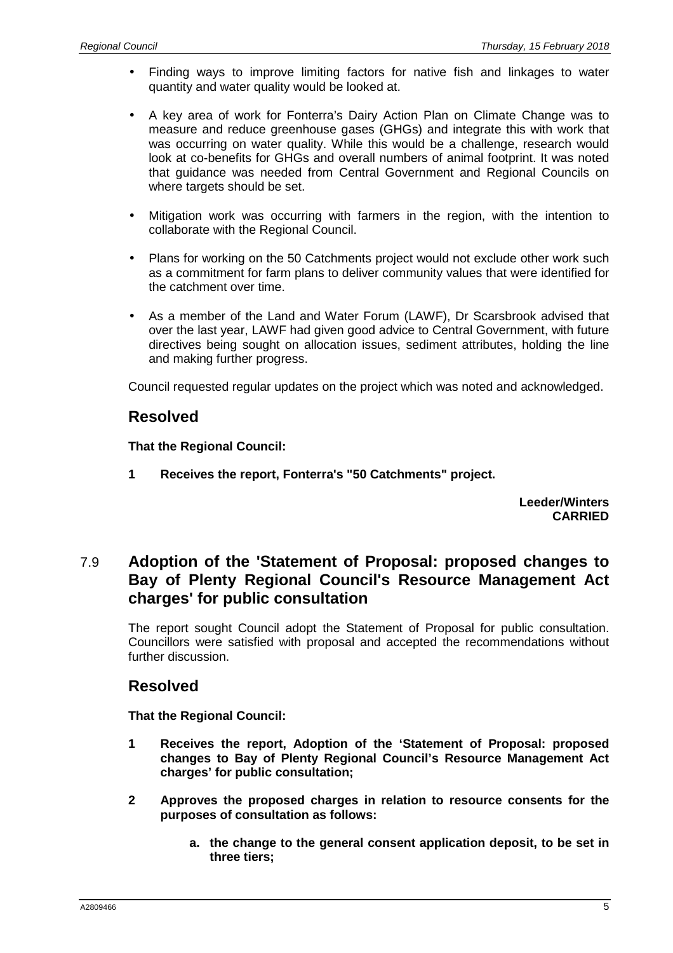- Finding ways to improve limiting factors for native fish and linkages to water quantity and water quality would be looked at.
- A key area of work for Fonterra's Dairy Action Plan on Climate Change was to measure and reduce greenhouse gases (GHGs) and integrate this with work that was occurring on water quality. While this would be a challenge, research would look at co-benefits for GHGs and overall numbers of animal footprint. It was noted that guidance was needed from Central Government and Regional Councils on where targets should be set.
- Mitigation work was occurring with farmers in the region, with the intention to collaborate with the Regional Council.
- Plans for working on the 50 Catchments project would not exclude other work such as a commitment for farm plans to deliver community values that were identified for the catchment over time.
- As a member of the Land and Water Forum (LAWF), Dr Scarsbrook advised that over the last year, LAWF had given good advice to Central Government, with future directives being sought on allocation issues, sediment attributes, holding the line and making further progress.

Council requested regular updates on the project which was noted and acknowledged.

## **Resolved**

**That the Regional Council:** 

**1 Receives the report, Fonterra's "50 Catchments" project.** 

**Leeder/Winters CARRIED**

## 7.9 **Adoption of the 'Statement of Proposal: proposed changes to Bay of Plenty Regional Council's Resource Management Act charges' for public consultation**

The report sought Council adopt the Statement of Proposal for public consultation. Councillors were satisfied with proposal and accepted the recommendations without further discussion.

#### **Resolved**

**That the Regional Council:** 

- **1 Receives the report, Adoption of the 'Statement of Proposal: proposed changes to Bay of Plenty Regional Council's Resource Management Act charges' for public consultation;**
- **2 Approves the proposed charges in relation to resource consents for the purposes of consultation as follows:** 
	- **a. the change to the general consent application deposit, to be set in three tiers;**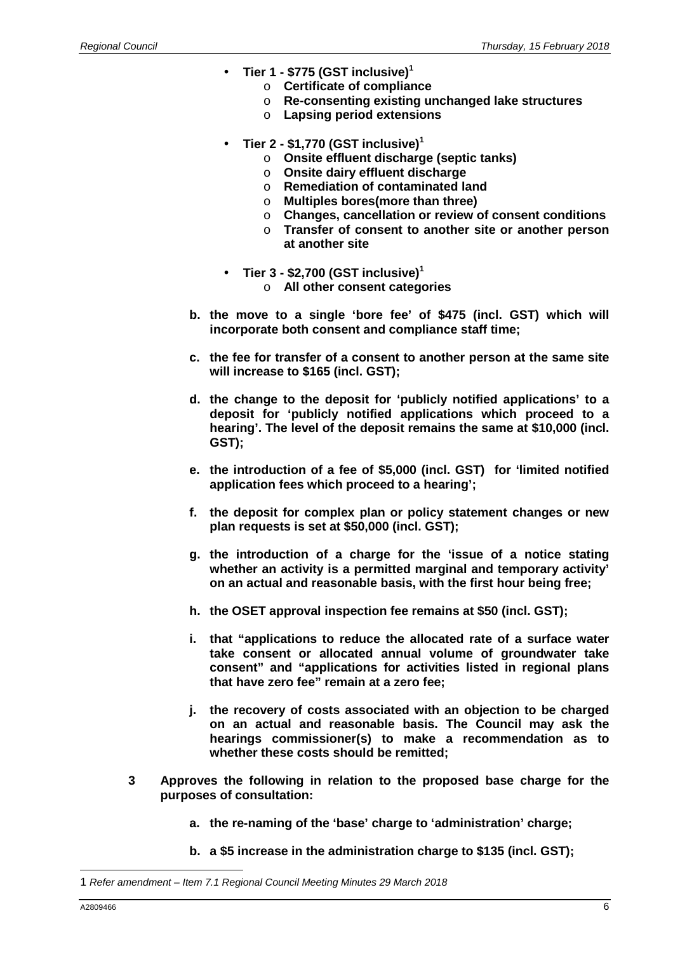- **Tier 1 \$775 (GST inclusive)<sup>1</sup>**
	- o **Certificate of compliance**
	- o **Re-consenting existing unchanged lake structures**
	- o **Lapsing period extensions**
- **Tier 2 \$1,770 (GST inclusive)<sup>1</sup>**
	- o **Onsite effluent discharge (septic tanks)**
	- o **Onsite dairy effluent discharge**
	- o **Remediation of contaminated land**
	- o **Multiples bores(more than three)**
	- o **Changes, cancellation or review of consent conditions**
	- o **Transfer of consent to another site or another person at another site**
- **Tier 3 \$2,700 (GST inclusive)<sup>1</sup>**
	- o **All other consent categories**
- **b. the move to a single 'bore fee' of \$475 (incl. GST) which will incorporate both consent and compliance staff time;**
- **c. the fee for transfer of a consent to another person at the same site will increase to \$165 (incl. GST);**
- **d. the change to the deposit for 'publicly notified applications' to a deposit for 'publicly notified applications which proceed to a hearing'. The level of the deposit remains the same at \$10,000 (incl. GST);**
- **e. the introduction of a fee of \$5,000 (incl. GST) for 'limited notified application fees which proceed to a hearing';**
- **f. the deposit for complex plan or policy statement changes or new plan requests is set at \$50,000 (incl. GST);**
- **g. the introduction of a charge for the 'issue of a notice stating whether an activity is a permitted marginal and temporary activity' on an actual and reasonable basis, with the first hour being free;**
- **h. the OSET approval inspection fee remains at \$50 (incl. GST);**
- **i. that "applications to reduce the allocated rate of a surface water take consent or allocated annual volume of groundwater take consent" and "applications for activities listed in regional plans that have zero fee" remain at a zero fee;**
- **j. the recovery of costs associated with an objection to be charged on an actual and reasonable basis. The Council may ask the hearings commissioner(s) to make a recommendation as to whether these costs should be remitted;**
- **3 Approves the following in relation to the proposed base charge for the purposes of consultation:** 
	- **a. the re-naming of the 'base' charge to 'administration' charge;**
	- **b. a \$5 increase in the administration charge to \$135 (incl. GST);**

<sup>1</sup> Refer amendment – Item 7.1 Regional Council Meeting Minutes 29 March 2018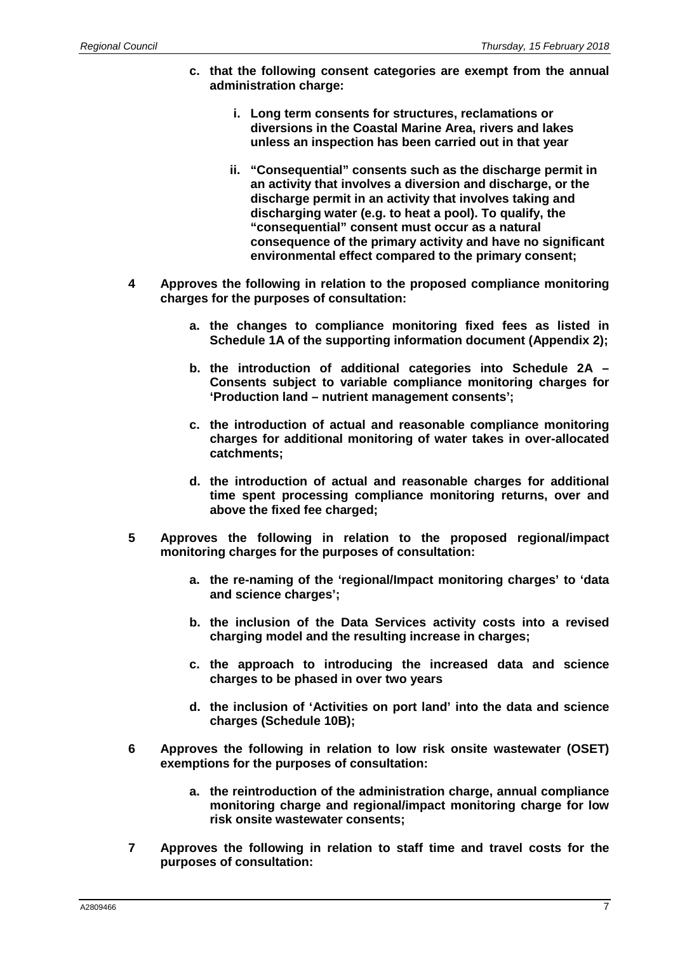- **c. that the following consent categories are exempt from the annual administration charge:** 
	- **i. Long term consents for structures, reclamations or diversions in the Coastal Marine Area, rivers and lakes unless an inspection has been carried out in that year**
	- **ii. "Consequential" consents such as the discharge permit in an activity that involves a diversion and discharge, or the discharge permit in an activity that involves taking and discharging water (e.g. to heat a pool). To qualify, the "consequential" consent must occur as a natural consequence of the primary activity and have no significant environmental effect compared to the primary consent;**
- **4 Approves the following in relation to the proposed compliance monitoring charges for the purposes of consultation:** 
	- **a. the changes to compliance monitoring fixed fees as listed in Schedule 1A of the supporting information document (Appendix 2);**
	- **b. the introduction of additional categories into Schedule 2A Consents subject to variable compliance monitoring charges for 'Production land – nutrient management consents';**
	- **c. the introduction of actual and reasonable compliance monitoring charges for additional monitoring of water takes in over-allocated catchments;**
	- **d. the introduction of actual and reasonable charges for additional time spent processing compliance monitoring returns, over and above the fixed fee charged;**
- **5 Approves the following in relation to the proposed regional/impact monitoring charges for the purposes of consultation:** 
	- **a. the re-naming of the 'regional/Impact monitoring charges' to 'data and science charges';**
	- **b. the inclusion of the Data Services activity costs into a revised charging model and the resulting increase in charges;**
	- **c. the approach to introducing the increased data and science charges to be phased in over two years**
	- **d. the inclusion of 'Activities on port land' into the data and science charges (Schedule 10B);**
- **6 Approves the following in relation to low risk onsite wastewater (OSET) exemptions for the purposes of consultation:** 
	- **a. the reintroduction of the administration charge, annual compliance monitoring charge and regional/impact monitoring charge for low risk onsite wastewater consents;**
- **7 Approves the following in relation to staff time and travel costs for the purposes of consultation:**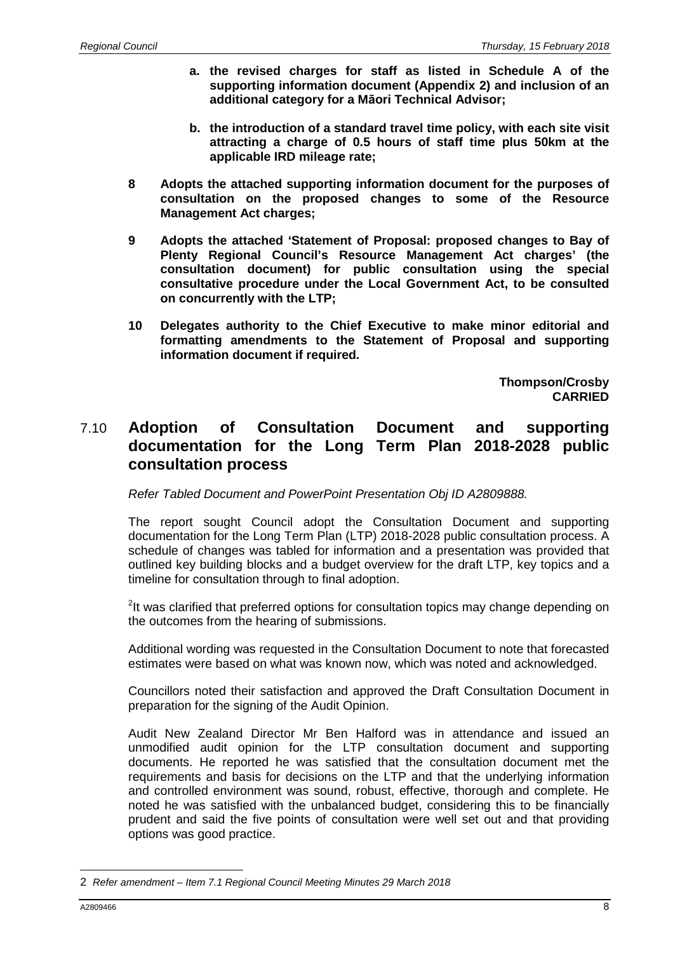- **a. the revised charges for staff as listed in Schedule A of the supporting information document (Appendix 2) and inclusion of an additional category for a Māori Technical Advisor;**
- **b. the introduction of a standard travel time policy, with each site visit attracting a charge of 0.5 hours of staff time plus 50km at the applicable IRD mileage rate;**
- **8 Adopts the attached supporting information document for the purposes of consultation on the proposed changes to some of the Resource Management Act charges;**
- **9 Adopts the attached 'Statement of Proposal: proposed changes to Bay of Plenty Regional Council's Resource Management Act charges' (the consultation document) for public consultation using the special consultative procedure under the Local Government Act, to be consulted on concurrently with the LTP;**
- **10 Delegates authority to the Chief Executive to make minor editorial and formatting amendments to the Statement of Proposal and supporting information document if required.**

**Thompson/Crosby CARRIED** 

## 7.10 **Adoption of Consultation Document and supporting documentation for the Long Term Plan 2018-2028 public consultation process**

Refer Tabled Document and PowerPoint Presentation Obj ID A2809888.

The report sought Council adopt the Consultation Document and supporting documentation for the Long Term Plan (LTP) 2018-2028 public consultation process. A schedule of changes was tabled for information and a presentation was provided that outlined key building blocks and a budget overview for the draft LTP, key topics and a timeline for consultation through to final adoption.

<sup>2</sup>It was clarified that preferred options for consultation topics may change depending on the outcomes from the hearing of submissions.

Additional wording was requested in the Consultation Document to note that forecasted estimates were based on what was known now, which was noted and acknowledged.

Councillors noted their satisfaction and approved the Draft Consultation Document in preparation for the signing of the Audit Opinion.

Audit New Zealand Director Mr Ben Halford was in attendance and issued an unmodified audit opinion for the LTP consultation document and supporting documents. He reported he was satisfied that the consultation document met the requirements and basis for decisions on the LTP and that the underlying information and controlled environment was sound, robust, effective, thorough and complete. He noted he was satisfied with the unbalanced budget, considering this to be financially prudent and said the five points of consultation were well set out and that providing options was good practice.

<sup>2</sup> Refer amendment – Item 7.1 Regional Council Meeting Minutes 29 March 2018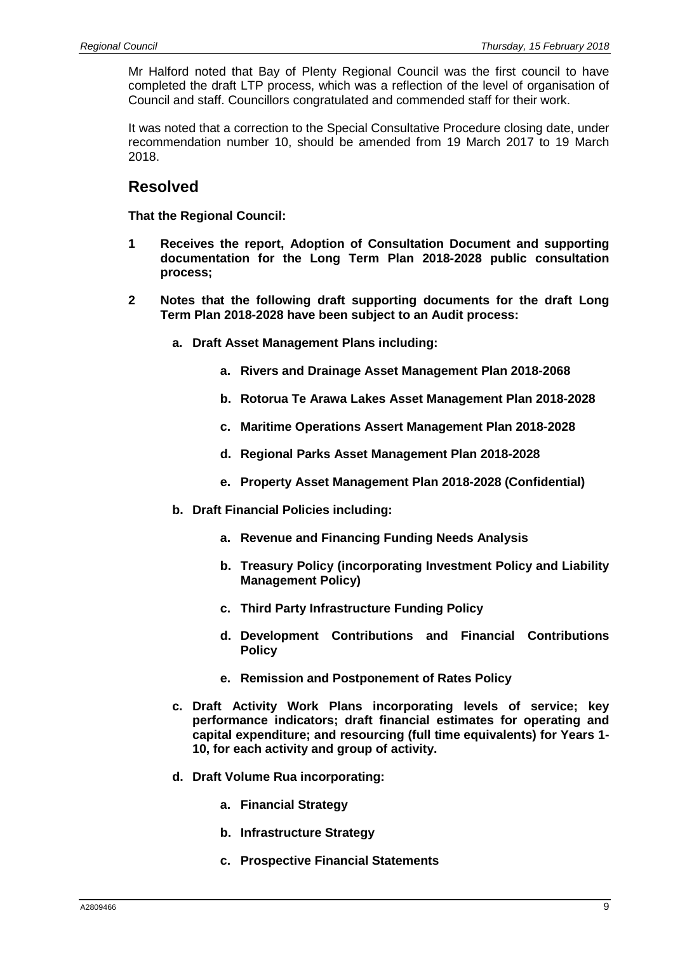Mr Halford noted that Bay of Plenty Regional Council was the first council to have completed the draft LTP process, which was a reflection of the level of organisation of Council and staff. Councillors congratulated and commended staff for their work.

It was noted that a correction to the Special Consultative Procedure closing date, under recommendation number 10, should be amended from 19 March 2017 to 19 March 2018.

### **Resolved**

**That the Regional Council:** 

- **1 Receives the report, Adoption of Consultation Document and supporting documentation for the Long Term Plan 2018-2028 public consultation process;**
- **2 Notes that the following draft supporting documents for the draft Long Term Plan 2018-2028 have been subject to an Audit process:** 
	- **a. Draft Asset Management Plans including:** 
		- **a. Rivers and Drainage Asset Management Plan 2018-2068**
		- **b. Rotorua Te Arawa Lakes Asset Management Plan 2018-2028**
		- **c. Maritime Operations Assert Management Plan 2018-2028**
		- **d. Regional Parks Asset Management Plan 2018-2028**
		- **e. Property Asset Management Plan 2018-2028 (Confidential)**
	- **b. Draft Financial Policies including:** 
		- **a. Revenue and Financing Funding Needs Analysis**
		- **b. Treasury Policy (incorporating Investment Policy and Liability Management Policy)**
		- **c. Third Party Infrastructure Funding Policy**
		- **d. Development Contributions and Financial Contributions Policy**
		- **e. Remission and Postponement of Rates Policy**
	- **c. Draft Activity Work Plans incorporating levels of service; key performance indicators; draft financial estimates for operating and capital expenditure; and resourcing (full time equivalents) for Years 1- 10, for each activity and group of activity.**
	- **d. Draft Volume Rua incorporating:** 
		- **a. Financial Strategy**
		- **b. Infrastructure Strategy**
		- **c. Prospective Financial Statements**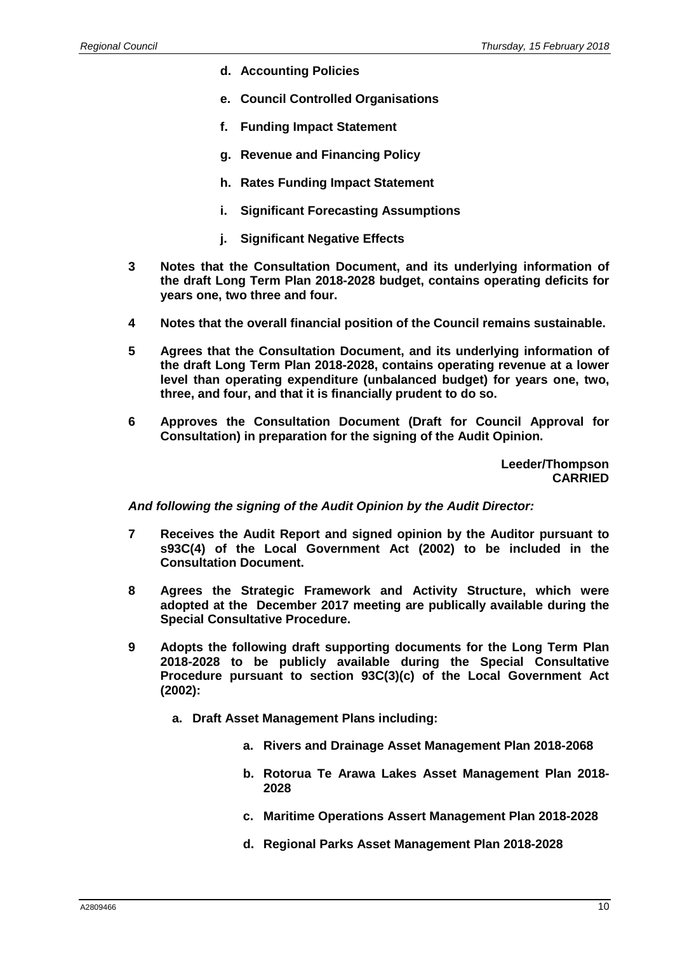- **d. Accounting Policies**
- **e. Council Controlled Organisations**
- **f. Funding Impact Statement**
- **g. Revenue and Financing Policy**
- **h. Rates Funding Impact Statement**
- **i. Significant Forecasting Assumptions**
- **j. Significant Negative Effects**
- **3 Notes that the Consultation Document, and its underlying information of the draft Long Term Plan 2018-2028 budget, contains operating deficits for years one, two three and four.**
- **4 Notes that the overall financial position of the Council remains sustainable.**
- **5 Agrees that the Consultation Document, and its underlying information of the draft Long Term Plan 2018-2028, contains operating revenue at a lower level than operating expenditure (unbalanced budget) for years one, two, three, and four, and that it is financially prudent to do so.**
- **6 Approves the Consultation Document (Draft for Council Approval for Consultation) in preparation for the signing of the Audit Opinion.**

**Leeder/Thompson CARRIED** 

**And following the signing of the Audit Opinion by the Audit Director:**

- **7 Receives the Audit Report and signed opinion by the Auditor pursuant to s93C(4) of the Local Government Act (2002) to be included in the Consultation Document.**
- **8 Agrees the Strategic Framework and Activity Structure, which were adopted at the December 2017 meeting are publically available during the Special Consultative Procedure.**
- **9 Adopts the following draft supporting documents for the Long Term Plan 2018-2028 to be publicly available during the Special Consultative Procedure pursuant to section 93C(3)(c) of the Local Government Act (2002):** 
	- **a. Draft Asset Management Plans including:** 
		- **a. Rivers and Drainage Asset Management Plan 2018-2068**
		- **b. Rotorua Te Arawa Lakes Asset Management Plan 2018- 2028**
		- **c. Maritime Operations Assert Management Plan 2018-2028**
		- **d. Regional Parks Asset Management Plan 2018-2028**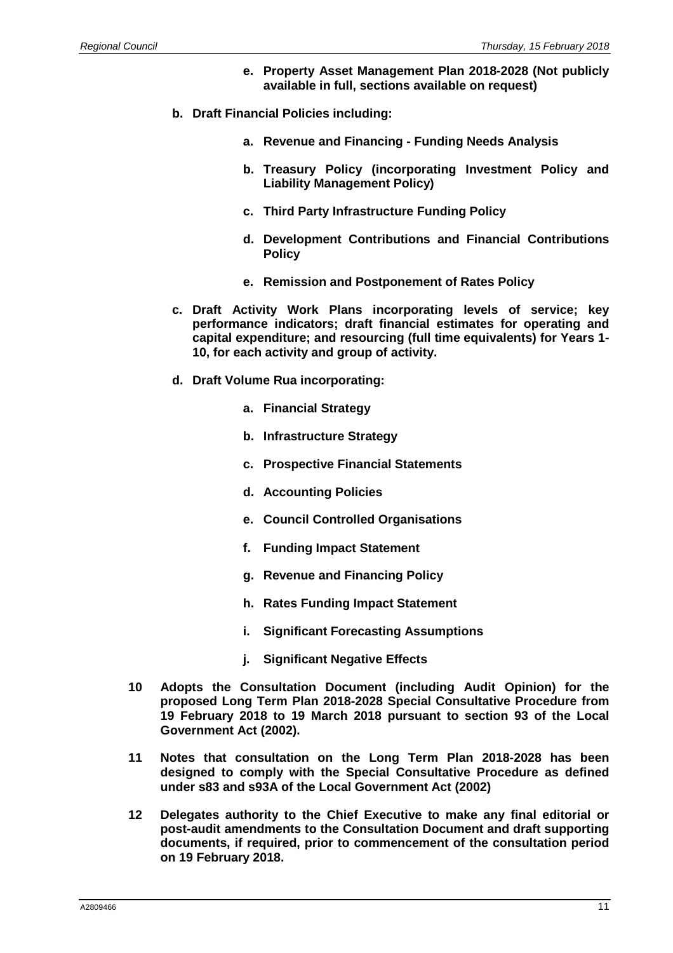- **e. Property Asset Management Plan 2018-2028 (Not publicly available in full, sections available on request)**
- **b. Draft Financial Policies including:** 
	- **a. Revenue and Financing Funding Needs Analysis**
	- **b. Treasury Policy (incorporating Investment Policy and Liability Management Policy)**
	- **c. Third Party Infrastructure Funding Policy**
	- **d. Development Contributions and Financial Contributions Policy**
	- **e. Remission and Postponement of Rates Policy**
- **c. Draft Activity Work Plans incorporating levels of service; key performance indicators; draft financial estimates for operating and capital expenditure; and resourcing (full time equivalents) for Years 1- 10, for each activity and group of activity.**
- **d. Draft Volume Rua incorporating:** 
	- **a. Financial Strategy**
	- **b. Infrastructure Strategy**
	- **c. Prospective Financial Statements**
	- **d. Accounting Policies**
	- **e. Council Controlled Organisations**
	- **f. Funding Impact Statement**
	- **g. Revenue and Financing Policy**
	- **h. Rates Funding Impact Statement**
	- **i. Significant Forecasting Assumptions**
	- **j. Significant Negative Effects**
- **10 Adopts the Consultation Document (including Audit Opinion) for the proposed Long Term Plan 2018-2028 Special Consultative Procedure from 19 February 2018 to 19 March 2018 pursuant to section 93 of the Local Government Act (2002).**
- **11 Notes that consultation on the Long Term Plan 2018-2028 has been designed to comply with the Special Consultative Procedure as defined under s83 and s93A of the Local Government Act (2002)**
- **12 Delegates authority to the Chief Executive to make any final editorial or post-audit amendments to the Consultation Document and draft supporting documents, if required, prior to commencement of the consultation period on 19 February 2018.**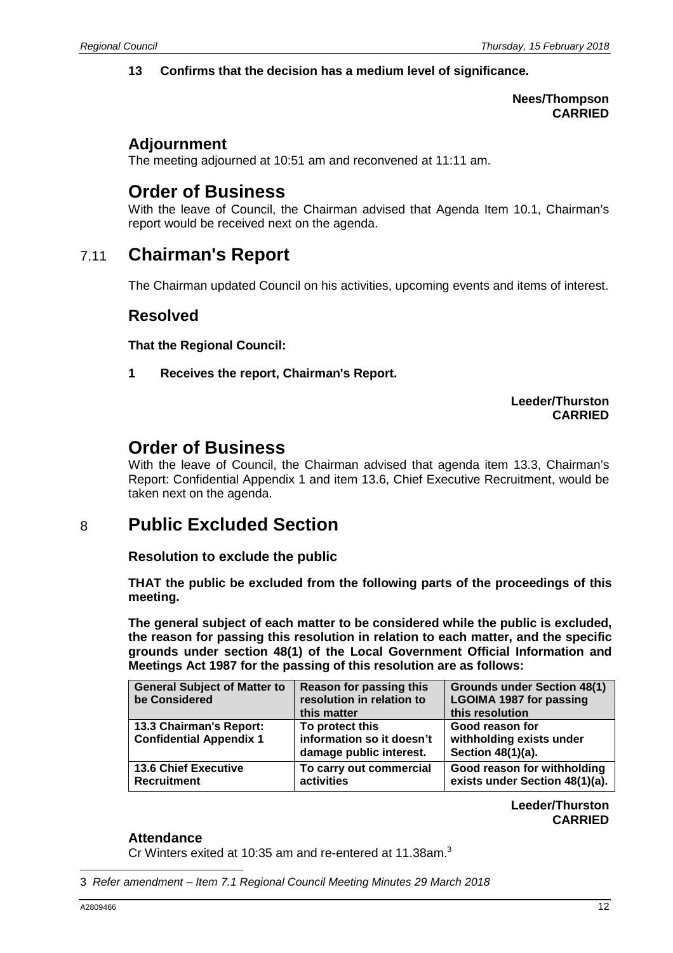#### **13 Confirms that the decision has a medium level of significance.**

#### **Nees/Thompson CARRIED**

#### **Adjournment**

The meeting adjourned at 10:51 am and reconvened at 11:11 am.

# **Order of Business**

With the leave of Council, the Chairman advised that Agenda Item 10.1, Chairman's report would be received next on the agenda.

# 7.11 **Chairman's Report**

The Chairman updated Council on his activities, upcoming events and items of interest.

#### **Resolved**

**That the Regional Council:** 

**1 Receives the report, Chairman's Report.** 

#### **Leeder/Thurston CARRIED**

# **Order of Business**

With the leave of Council, the Chairman advised that agenda item 13.3, Chairman's Report: Confidential Appendix 1 and item 13.6, Chief Executive Recruitment, would be taken next on the agenda.

# 8 **Public Excluded Section**

**Resolution to exclude the public** 

**THAT the public be excluded from the following parts of the proceedings of this meeting.** 

**The general subject of each matter to be considered while the public is excluded, the reason for passing this resolution in relation to each matter, and the specific grounds under section 48(1) of the Local Government Official Information and Meetings Act 1987 for the passing of this resolution are as follows:** 

| <b>General Subject of Matter to</b><br>be Considered      | <b>Reason for passing this</b><br>resolution in relation to<br>this matter | <b>Grounds under Section 48(1)</b><br><b>LGOIMA 1987 for passing</b><br>this resolution |
|-----------------------------------------------------------|----------------------------------------------------------------------------|-----------------------------------------------------------------------------------------|
| 13.3 Chairman's Report:<br><b>Confidential Appendix 1</b> | To protect this<br>information so it doesn't<br>damage public interest.    | Good reason for<br>withholding exists under<br>Section 48(1)(a).                        |
| <b>13.6 Chief Executive</b><br>Recruitment                | To carry out commercial<br>activities                                      | Good reason for withholding<br>exists under Section 48(1)(a).                           |

**Leeder/Thurston CARRIED**

#### **Attendance**

Cr Winters exited at 10:35 am and re-entered at 11.38am.<sup>3</sup>

 3 Refer amendment – Item 7.1 Regional Council Meeting Minutes 29 March 2018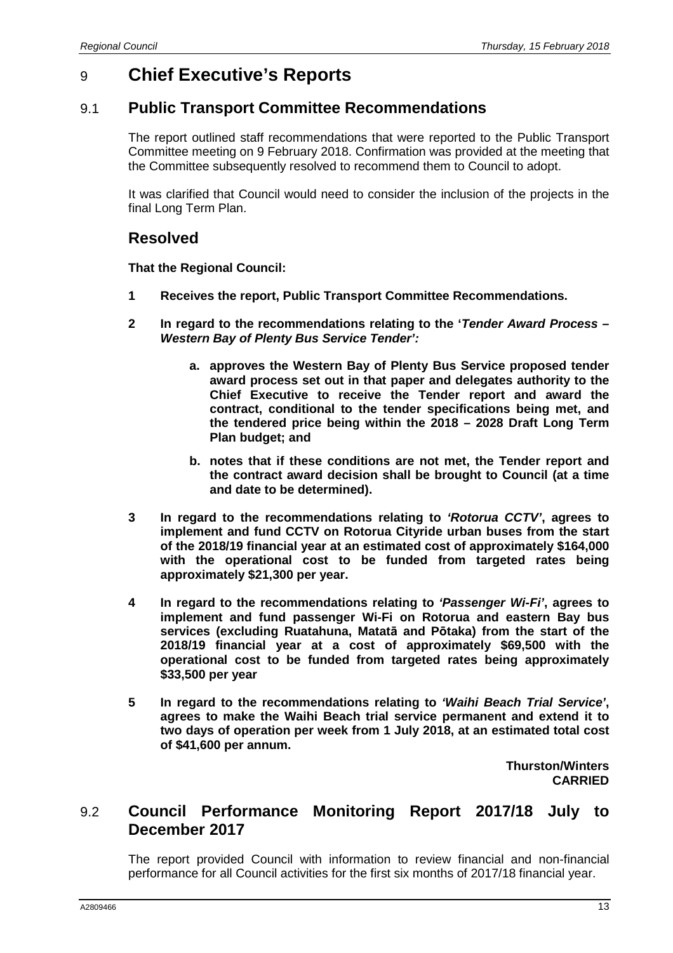# 9 **Chief Executive's Reports**

### 9.1 **Public Transport Committee Recommendations**

The report outlined staff recommendations that were reported to the Public Transport Committee meeting on 9 February 2018. Confirmation was provided at the meeting that the Committee subsequently resolved to recommend them to Council to adopt.

It was clarified that Council would need to consider the inclusion of the projects in the final Long Term Plan.

#### **Resolved**

**That the Regional Council:** 

- **1 Receives the report, Public Transport Committee Recommendations.**
- **2 In regard to the recommendations relating to the 'Tender Award Process Western Bay of Plenty Bus Service Tender':**
	- **a. approves the Western Bay of Plenty Bus Service proposed tender award process set out in that paper and delegates authority to the Chief Executive to receive the Tender report and award the contract, conditional to the tender specifications being met, and the tendered price being within the 2018 – 2028 Draft Long Term Plan budget; and**
	- **b. notes that if these conditions are not met, the Tender report and the contract award decision shall be brought to Council (at a time and date to be determined).**
- **3 In regard to the recommendations relating to 'Rotorua CCTV', agrees to implement and fund CCTV on Rotorua Cityride urban buses from the start of the 2018/19 financial year at an estimated cost of approximately \$164,000 with the operational cost to be funded from targeted rates being approximately \$21,300 per year.**
- **4 In regard to the recommendations relating to 'Passenger Wi-Fi', agrees to implement and fund passenger Wi-Fi on Rotorua and eastern Bay bus services (excluding Ruatahuna, Matatā and Pōtaka) from the start of the 2018/19 financial year at a cost of approximately \$69,500 with the operational cost to be funded from targeted rates being approximately \$33,500 per year**
- **5 In regard to the recommendations relating to 'Waihi Beach Trial Service', agrees to make the Waihi Beach trial service permanent and extend it to two days of operation per week from 1 July 2018, at an estimated total cost of \$41,600 per annum.**

**Thurston/Winters CARRIED**

## 9.2 **Council Performance Monitoring Report 2017/18 July to December 2017**

The report provided Council with information to review financial and non-financial performance for all Council activities for the first six months of 2017/18 financial year.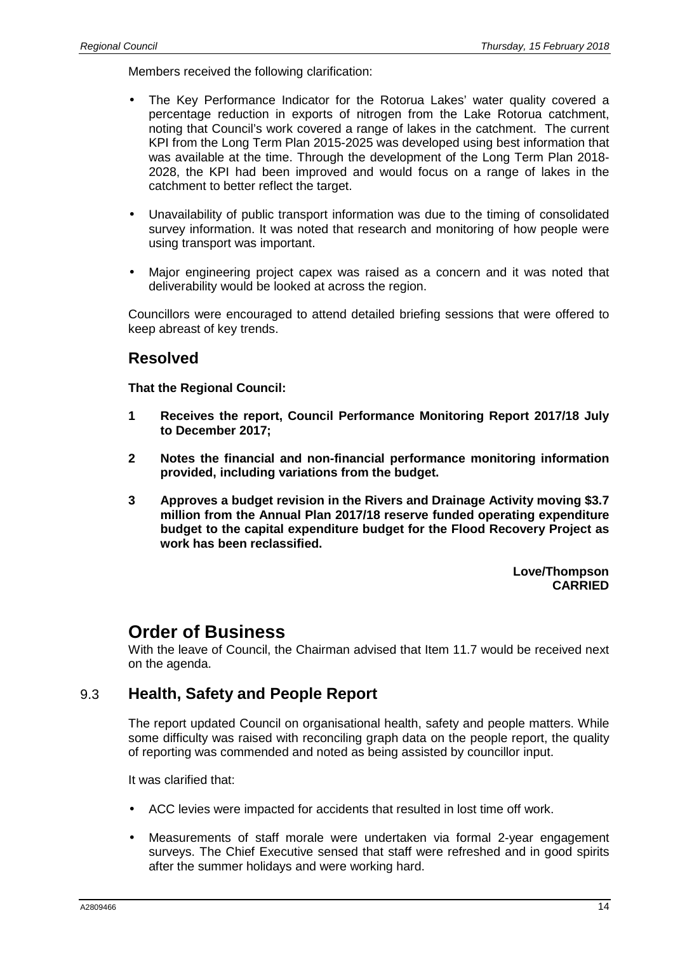Members received the following clarification:

- The Key Performance Indicator for the Rotorua Lakes' water quality covered a percentage reduction in exports of nitrogen from the Lake Rotorua catchment, noting that Council's work covered a range of lakes in the catchment. The current KPI from the Long Term Plan 2015-2025 was developed using best information that was available at the time. Through the development of the Long Term Plan 2018- 2028, the KPI had been improved and would focus on a range of lakes in the catchment to better reflect the target.
- Unavailability of public transport information was due to the timing of consolidated survey information. It was noted that research and monitoring of how people were using transport was important.
- Major engineering project capex was raised as a concern and it was noted that deliverability would be looked at across the region.

Councillors were encouraged to attend detailed briefing sessions that were offered to keep abreast of key trends.

#### **Resolved**

**That the Regional Council:** 

- **1 Receives the report, Council Performance Monitoring Report 2017/18 July to December 2017;**
- **2 Notes the financial and non-financial performance monitoring information provided, including variations from the budget.**
- **3 Approves a budget revision in the Rivers and Drainage Activity moving \$3.7 million from the Annual Plan 2017/18 reserve funded operating expenditure budget to the capital expenditure budget for the Flood Recovery Project as work has been reclassified.**

**Love/Thompson CARRIED**

## **Order of Business**

With the leave of Council, the Chairman advised that Item 11.7 would be received next on the agenda.

## 9.3 **Health, Safety and People Report**

The report updated Council on organisational health, safety and people matters. While some difficulty was raised with reconciling graph data on the people report, the quality of reporting was commended and noted as being assisted by councillor input.

It was clarified that:

- ACC levies were impacted for accidents that resulted in lost time off work.
- Measurements of staff morale were undertaken via formal 2-year engagement surveys. The Chief Executive sensed that staff were refreshed and in good spirits after the summer holidays and were working hard.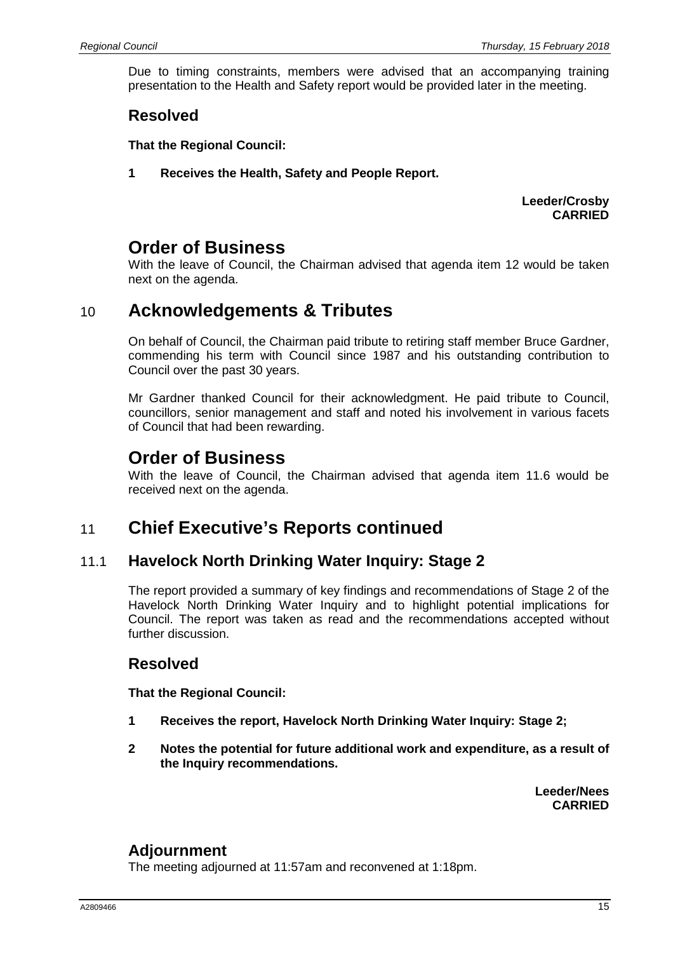Due to timing constraints, members were advised that an accompanying training presentation to the Health and Safety report would be provided later in the meeting.

## **Resolved**

**That the Regional Council:** 

**1 Receives the Health, Safety and People Report.** 

**Leeder/Crosby CARRIED**

# **Order of Business**

With the leave of Council, the Chairman advised that agenda item 12 would be taken next on the agenda.

## 10 **Acknowledgements & Tributes**

On behalf of Council, the Chairman paid tribute to retiring staff member Bruce Gardner, commending his term with Council since 1987 and his outstanding contribution to Council over the past 30 years.

Mr Gardner thanked Council for their acknowledgment. He paid tribute to Council, councillors, senior management and staff and noted his involvement in various facets of Council that had been rewarding.

## **Order of Business**

With the leave of Council, the Chairman advised that agenda item 11.6 would be received next on the agenda.

# 11 **Chief Executive's Reports continued**

## 11.1 **Havelock North Drinking Water Inquiry: Stage 2**

The report provided a summary of key findings and recommendations of Stage 2 of the Havelock North Drinking Water Inquiry and to highlight potential implications for Council. The report was taken as read and the recommendations accepted without further discussion.

## **Resolved**

**That the Regional Council:** 

- **1 Receives the report, Havelock North Drinking Water Inquiry: Stage 2;**
- **2 Notes the potential for future additional work and expenditure, as a result of the Inquiry recommendations.**

**Leeder/Nees CARRIED**

## **Adjournment**

The meeting adjourned at 11:57am and reconvened at 1:18pm.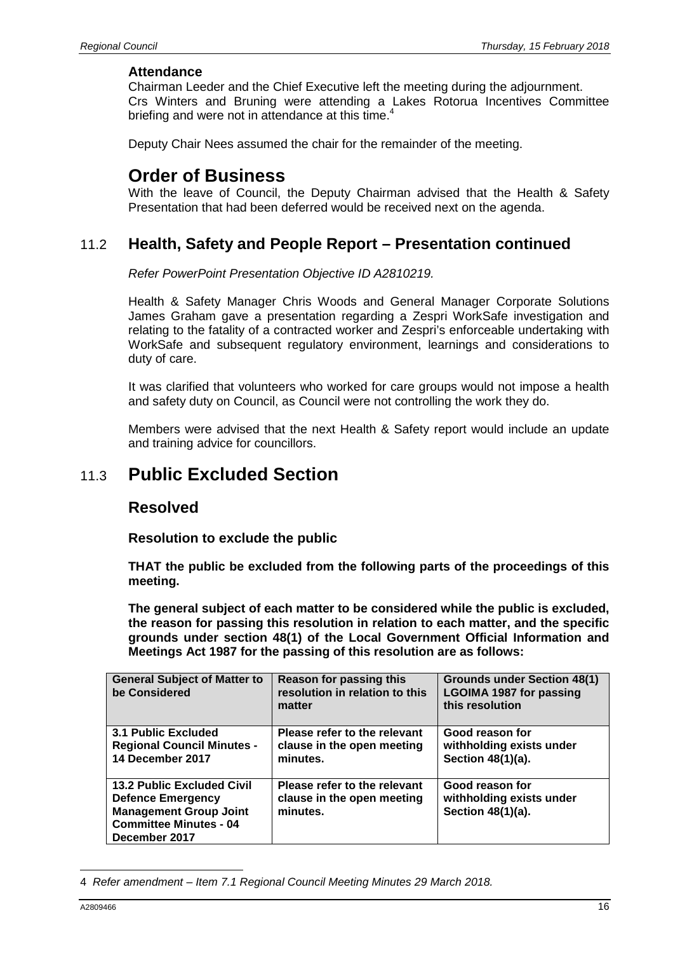#### **Attendance**

Chairman Leeder and the Chief Executive left the meeting during the adjournment. Crs Winters and Bruning were attending a Lakes Rotorua Incentives Committee briefing and were not in attendance at this time.

Deputy Chair Nees assumed the chair for the remainder of the meeting.

## **Order of Business**

With the leave of Council, the Deputy Chairman advised that the Health & Safety Presentation that had been deferred would be received next on the agenda.

## 11.2 **Health, Safety and People Report – Presentation continued**

Refer PowerPoint Presentation Objective ID A2810219.

Health & Safety Manager Chris Woods and General Manager Corporate Solutions James Graham gave a presentation regarding a Zespri WorkSafe investigation and relating to the fatality of a contracted worker and Zespri's enforceable undertaking with WorkSafe and subsequent regulatory environment, learnings and considerations to duty of care.

It was clarified that volunteers who worked for care groups would not impose a health and safety duty on Council, as Council were not controlling the work they do.

Members were advised that the next Health & Safety report would include an update and training advice for councillors.

# 11.3 **Public Excluded Section**

#### **Resolved**

**Resolution to exclude the public** 

**THAT the public be excluded from the following parts of the proceedings of this meeting.** 

**The general subject of each matter to be considered while the public is excluded, the reason for passing this resolution in relation to each matter, and the specific grounds under section 48(1) of the Local Government Official Information and Meetings Act 1987 for the passing of this resolution are as follows:** 

| <b>General Subject of Matter to</b><br>be Considered                                                                                             | Reason for passing this<br>resolution in relation to this<br>matter    | <b>Grounds under Section 48(1)</b><br><b>LGOIMA 1987 for passing</b><br>this resolution |
|--------------------------------------------------------------------------------------------------------------------------------------------------|------------------------------------------------------------------------|-----------------------------------------------------------------------------------------|
| <b>3.1 Public Excluded</b><br><b>Regional Council Minutes -</b><br>14 December 2017                                                              | Please refer to the relevant<br>clause in the open meeting<br>minutes. | Good reason for<br>withholding exists under<br>Section 48(1)(a).                        |
| <b>13.2 Public Excluded Civil</b><br><b>Defence Emergency</b><br><b>Management Group Joint</b><br><b>Committee Minutes - 04</b><br>December 2017 | Please refer to the relevant<br>clause in the open meeting<br>minutes. | Good reason for<br>withholding exists under<br>Section 48(1)(a).                        |

 4 Refer amendment – Item 7.1 Regional Council Meeting Minutes 29 March 2018.